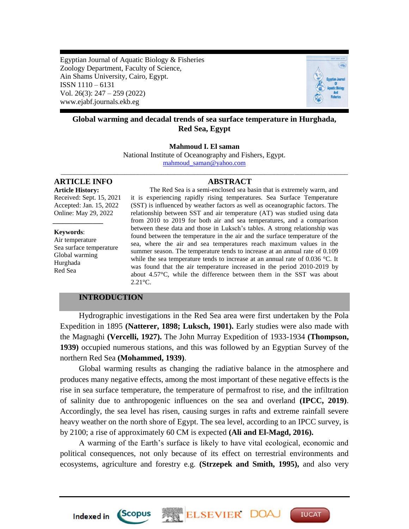Egyptian Journal of Aquatic Biology & Fisheries Zoology Department, Faculty of Science, Ain Shams University, Cairo, Egypt. ISSN 1110 – 6131 Vol. 26(3): 247 – 259 (2022) www.ejabf.journals.ekb.eg



# **Global warming and decadal trends of sea surface temperature in Hurghada, Red Sea, Egypt**

#### **Mahmoud I. El saman**

National Institute of Oceanography and Fishers, Egypt. [mahmoud\\_saman@yahoo.com](mailto:mahmoud_saman@yahoo.com) \_\_\_\_\_\_\_\_\_\_\_\_\_\_\_\_\_\_\_\_\_\_\_\_\_\_\_\_\_\_\_\_\_\_\_\_\_\_\_\_\_\_\_\_\_\_\_\_\_\_\_\_\_\_\_\_\_\_\_\_\_\_\_\_\_\_\_\_\_\_\_\_\_\_\_\_\_\_\_\_\_\_\_\_\_\_

**ARTICLE INFO ABSTRACT**

*\_\_\_\_\_\_\_\_\_\_\_\_\_\_\_*

**Article History:** Received: Sept. 15, 2021 Accepted: Jan. 15, 2022 Online: May 29, 2022

**Keywords**: Air temperature Sea surface temperature Global warming Hurghada Red Sea

The Red Sea is a semi-enclosed sea basin that is extremely warm, and it is experiencing rapidly rising temperatures. Sea Surface Temperature (SST) is influenced by weather factors as well as oceanographic factors. The relationship between SST and air temperature (AT) was studied using data from 2010 to 2019 for both air and sea temperatures, and a comparison between these data and those in Luksch's tables. A strong relationship was found between the temperature in the air and the surface temperature of the sea, where the air and sea temperatures reach maximum values in the summer season. The temperature tends to increase at an annual rate of 0.109 while the sea temperature tends to increase at an annual rate of 0.036 °C. It was found that the air temperature increased in the period 2010-2019 by about 4.57°C, while the difference between them in the SST was about 2.21°C.

# **INTRODUCTION**

*Scopus* 

Indexed in

Hydrographic investigations in the Red Sea area were first undertaken by the Pola Expedition in 1895 **(Natterer, 1898; Luksch, 1901).** Early studies were also made with the Magnaghi **(Vercelli, 1927).** The John Murray Expedition of 1933-1934 **(Thompson, 1939)** occupied numerous stations, and this was followed by an Egyptian Survey of the northern Red Sea **(Mohammed, 1939)**.

Global warming results as changing the radiative balance in the atmosphere and produces many negative effects, among the most important of these negative effects is the rise in sea surface temperature, the temperature of permafrost to rise, and the infiltration of salinity due to anthropogenic influences on the sea and overland **(IPCC, 2019)**. Accordingly, the sea level has risen, causing surges in rafts and extreme rainfall severe heavy weather on the north shore of Egypt. The sea level, according to an IPCC survey, is by 2100; a rise of approximately 60 CM is expected **(Ali and El-Magd, 2016).** 

A warming of the Earth's surface is likely to have vital ecological, economic and political consequences, not only because of its effect on terrestrial environments and ecosystems, agriculture and forestry e.g. **(Strzepek and Smith, 1995),** and also very

ELSEVIER DOA

**IUCAT**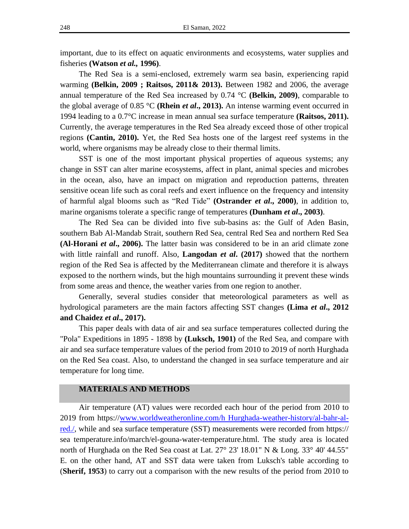important, due to its effect on aquatic environments and ecosystems, water supplies and fisheries **(Watson** *et al.,* **1996)**.

The Red Sea is a semi-enclosed, extremely warm sea basin, experiencing rapid warming **(Belkin, 2009 ; Raitsos, 2011& 2013).** Between 1982 and 2006, the average annual temperature of the Red Sea increased by 0.74 °C **(Belkin, 2009)**, comparable to the global average of 0.85 °C **(Rhein** *et al***., 2013).** An intense warming event occurred in 1994 leading to a 0.7°C increase in mean annual sea surface temperature **(Raitsos, 2011).** Currently, the average temperatures in the Red Sea already exceed those of other tropical regions **(Cantin, 2010).** Yet, the Red Sea hosts one of the largest reef systems in the world, where organisms may be already close to their thermal limits.

SST is one of the most important physical properties of aqueous systems; any change in SST can alter marine ecosystems, affect in plant, animal species and microbes in the ocean, also, have an impact on migration and reproduction patterns, threaten sensitive ocean life such as coral reefs and exert influence on the frequency and intensity of harmful algal blooms such as "Red Tide" (Ostrander *et al.*, 2000), in addition to, marine organisms tolerate a specific range of temperatures **(Dunham** *et al***., 2003)**.

The Red Sea can be divided into five sub-basins as: the Gulf of Aden Basin, southern Bab Al-Mandab Strait, southern Red Sea, central Red Sea and northern Red Sea **(Al-Horani** *et al***., 2006).** The latter basin was considered to be in an arid climate zone with little rainfall and runoff. Also, **Langodan** *et al***. (2017)** showed that the northern region of the Red Sea is affected by the Mediterranean climate and therefore it is always exposed to the northern winds, but the high mountains surrounding it prevent these winds from some areas and thence, the weather varies from one region to another.

Generally, several studies consider that meteorological parameters as well as hydrological parameters are the main factors affecting SST changes **(Lima** *et al***., 2012 and Chaidez** *et al***., 2017).**

This paper deals with data of air and sea surface temperatures collected during the "Pola" Expeditions in 1895 - 1898 by **(Luksch, 1901)** of the Red Sea, and compare with air and sea surface temperature values of the period from 2010 to 2019 of north Hurghada on the Red Sea coast. Also, to understand the changed in sea surface temperature and air temperature for long time.

#### **MATERIALS AND METHODS**

Air temperature (AT) values were recorded each hour of the period from 2010 to 2019 from https:/[/www.worldweatheronline.com/h Hurghada-weather-history/al-bahr-al](http://www.worldweatheronline.com/h%20Hurghada-weather-history/al-bahr-al-red./)[red./,](http://www.worldweatheronline.com/h%20Hurghada-weather-history/al-bahr-al-red./) while and sea surface temperature (SST) measurements were recorded from https:// sea temperature.info/march/el-gouna-water-temperature.html. The study area is located north of Hurghada on the Red Sea coast at Lat. 27° 23' 18.01" N & Long. 33° 40' 44.55" E. on the other hand, AT and SST data were taken from Luksch's table according to (**Sherif, 1953**) to carry out a comparison with the new results of the period from 2010 to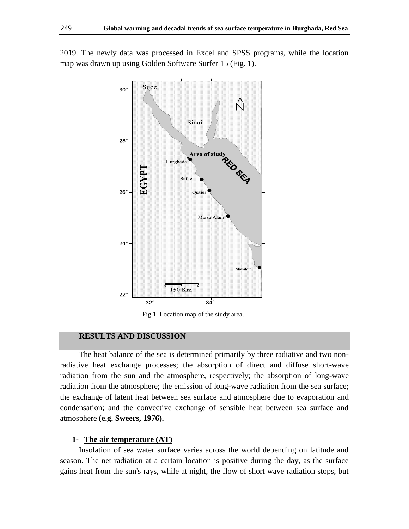

2019. The newly data was processed in Excel and SPSS programs, while the location map was drawn up using Golden Software Surfer 15 (Fig. 1).

Fig.1. Location map of the study area.

### **RESULTS AND DISCUSSION**

The heat balance of the sea is determined primarily by three radiative and two nonradiative heat exchange processes; the absorption of direct and diffuse short-wave radiation from the sun and the atmosphere, respectively; the absorption of long-wave radiation from the atmosphere; the emission of long-wave radiation from the sea surface; the exchange of latent heat between sea surface and atmosphere due to evaporation and condensation; and the convective exchange of sensible heat between sea surface and atmosphere **(e.g. Sweers, 1976).**

#### **1- The air temperature (AT)**

Insolation of sea water surface varies across the world depending on latitude and season. The net radiation at a certain location is positive during the day, as the surface gains heat from the sun's rays, while at night, the flow of short wave radiation stops, but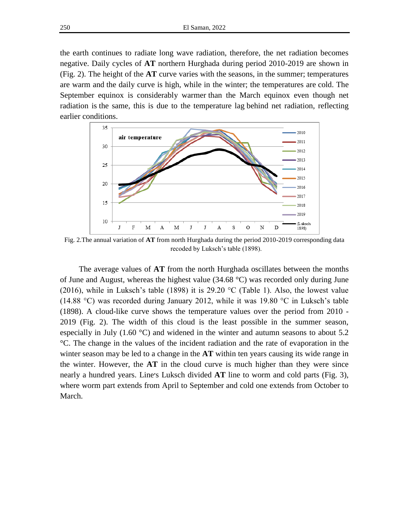the earth continues to radiate long wave radiation, therefore, the net radiation becomes negative. Daily cycles of **AT** northern Hurghada during period 2010-2019 are shown in (Fig. 2). The height of the **AT** curve varies with the [seasons,](https://geography.name/seasons/) in the summer; temperatures are warm and the daily curve is high, while in the winter; the temperatures are cold. The September equinox is considerably warmer than the March equinox even though net radiation is the same, this is due to the temperature lag behind net radiation, reflecting earlier conditions.



Fig. 2.The annual variation of **AT** from north Hurghada during the period 2010-2019 corresponding data recoded by Luksch's table (1898).

The average values of **AT** from the north Hurghada oscillates between the months of June and August, whereas the highest value  $(34.68 \degree C)$  was recorded only during June (2016), while in Luksch's table (1898) it is 29.20  $\degree$ C (Table 1). Also, the lowest value (14.88 °C) was recorded during January 2012, while it was 19.80 °C in Luksch's table (1898). A cloud-like curve shows the temperature values over the period from 2010 - 2019 (Fig. 2). The width of this cloud is the least possible in the summer season, especially in July  $(1.60 \degree C)$  and widened in the winter and autumn seasons to about 5.2 °C. The change in the values of the incident radiation and the rate of evaporation in the winter season may be led to a change in the **AT** within ten years causing its wide range in the winter. However, the **AT** in the cloud curve is much higher than they were since nearly a hundred years. Line׳s Luksch divided **AT** line to worm and cold parts (Fig. 3), where worm part extends from April to September and cold one extends from October to March.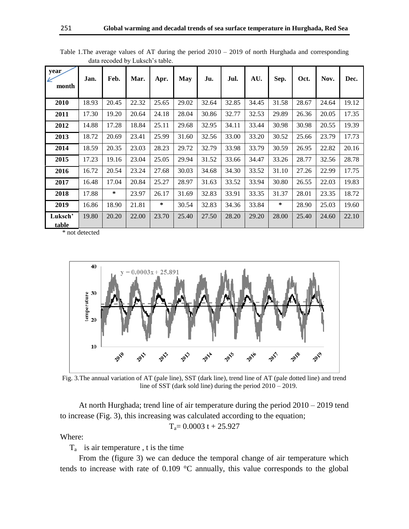| year<br>month           | Jan.  | Feb.   | Mar.  | Apr.   | <b>May</b> | Ju.   | Jul.  | AU.   | Sep.   | Oct.  | Nov.  | Dec.  |
|-------------------------|-------|--------|-------|--------|------------|-------|-------|-------|--------|-------|-------|-------|
| 2010                    | 18.93 | 20.45  | 22.32 | 25.65  | 29.02      | 32.64 | 32.85 | 34.45 | 31.58  | 28.67 | 24.64 | 19.12 |
| 2011                    | 17.30 | 19.20  | 20.64 | 24.18  | 28.04      | 30.86 | 32.77 | 32.53 | 29.89  | 26.36 | 20.05 | 17.35 |
| 2012                    | 14.88 | 17.28  | 18.84 | 25.11  | 29.68      | 32.95 | 34.11 | 33.44 | 30.98  | 30.98 | 20.55 | 19.39 |
| 2013                    | 18.72 | 20.69  | 23.41 | 25.99  | 31.60      | 32.56 | 33.00 | 33.20 | 30.52  | 25.66 | 23.79 | 17.73 |
| 2014                    | 18.59 | 20.35  | 23.03 | 28.23  | 29.72      | 32.79 | 33.98 | 33.79 | 30.59  | 26.95 | 22.82 | 20.16 |
| 2015                    | 17.23 | 19.16  | 23.04 | 25.05  | 29.94      | 31.52 | 33.66 | 34.47 | 33.26  | 28.77 | 32.56 | 28.78 |
| 2016                    | 16.72 | 20.54  | 23.24 | 27.68  | 30.03      | 34.68 | 34.30 | 33.52 | 31.10  | 27.26 | 22.99 | 17.75 |
| 2017                    | 16.48 | 17.04  | 20.84 | 25.27  | 28.97      | 31.63 | 33.52 | 33.94 | 30.80  | 26.55 | 22.03 | 19.83 |
| 2018                    | 17.88 | $\ast$ | 23.97 | 26.17  | 31.69      | 32.83 | 33.91 | 33.35 | 31.37  | 28.01 | 23.35 | 18.72 |
| 2019                    | 16.86 | 18.90  | 21.81 | $\ast$ | 30.54      | 32.83 | 34.36 | 33.84 | $\ast$ | 28.90 | 25.03 | 19.60 |
| Luksch'<br><u>table</u> | 19.80 | 20.20  | 22.00 | 23.70  | 25.40      | 27.50 | 28.20 | 29.20 | 28.00  | 25.40 | 24.60 | 22.10 |

Table 1.The average values of AT during the period 2010 – 2019 of north Hurghada and corresponding data recoded by Luksch's table.

\* not detected



Fig. 3.The annual variation of AT (pale line), SST (dark line), trend line of AT (pale dotted line) and trend line of SST (dark sold line) during the period 2010 – 2019.

At north Hurghada; trend line of air temperature during the period 2010 – 2019 tend to increase (Fig. 3), this increasing was calculated according to the equation;

$$
T_a\!\!=0.0003\;t+25.927
$$

Where:

 $T_a$  is air temperature, t is the time

From the (figure 3) we can deduce the temporal change of air temperature which tends to increase with rate of 0.109 °C annually, this value corresponds to the global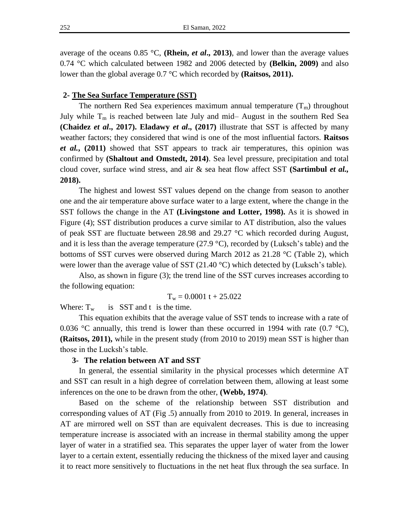average of the oceans 0.85 °C, **(Rhein,** *et al***., 2013)**, and lower than the average values 0.74 °C which calculated between 1982 and 2006 detected by **(Belkin, 2009)** and also lower than the global average 0.7 °C which recorded by **(Raitsos, 2011).**

#### **2- The Sea Surface Temperature (SST)**

The northern Red Sea experiences maximum annual temperature  $(T_m)$  throughout July while  $T_m$  is reached between late July and mid– August in the southern Red Sea **(Chaidez** *et al***., 2017). Eladawy** *et al***., (2017)** illustrate that SST is affected by many weather factors; they considered that wind is one of the most influential factors. **Raitsos**  *et al.***, (2011)** showed that SST appears to track air temperatures, this opinion was confirmed by **(Shaltout and Omstedt, 2014)**. Sea level pressure, precipitation and total cloud cover, surface wind stress, and air & sea heat flow affect SST **(Sartimbul** *et al.,* **2018).**

The highest and lowest SST values depend on the change from season to another one and the air temperature above surface water to a large extent, where the change in the SST follows the change in the AT **(Livingstone and Lotter, 1998).** As it is showed in Figure (4); SST distribution produces a curve similar to AT distribution, also the values of peak SST are fluctuate between 28.98 and 29.27  $\degree$ C which recorded during August, and it is less than the average temperature (27.9  $^{\circ}$ C), recorded by (Luksch's table) and the bottoms of SST curves were observed during March 2012 as  $21.28 \degree C$  (Table 2), which were lower than the average value of SST  $(21.40 \degree C)$  which detected by (Luksch's table).

Also, as shown in figure (3); the trend line of the SST curves increases according to the following equation:

$$
T_w = 0.0001 t + 25.022
$$

Where:  $T_w$  is SST and t is the time.

This equation exhibits that the average value of SST tends to increase with a rate of 0.036 °C annually, this trend is lower than these occurred in 1994 with rate  $(0.7 \text{ }^{\circ}\text{C})$ , **(Raitsos, 2011),** while in the present study (from 2010 to 2019) mean SST is higher than those in the Lucksh's table.

#### **3- The relation between AT and SST**

In general, the essential similarity in the physical processes which determine AT and SST can result in a high degree of correlation between them, allowing at least some inferences on the one to be drawn from the other, **(Webb, 1974)**.

Based on the scheme of the relationship between SST distribution and corresponding values of AT (Fig .5) annually from 2010 to 2019. In general, increases in AT are mirrored well on SST than are equivalent decreases. This is due to increasing temperature increase is associated with an increase in thermal stability among the upper layer of water in a stratified sea. This separates the upper layer of water from the lower layer to a certain extent, essentially reducing the thickness of the mixed layer and causing it to react more sensitively to fluctuations in the net heat flux through the sea surface. In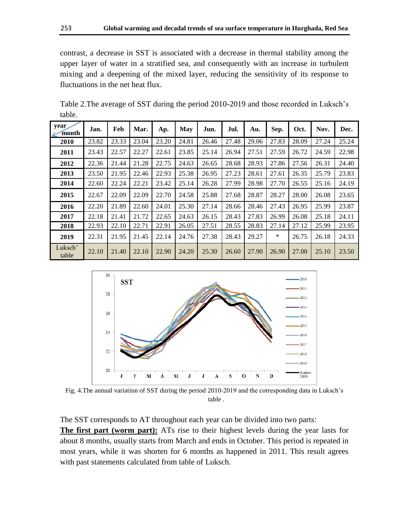contrast, a decrease in SST is associated with a decrease in thermal stability among the upper layer of water in a stratified sea, and consequently with an increase in turbulent mixing and a deepening of the mixed layer, reducing the sensitivity of its response to fluctuations in the net heat flux.

| year<br>month    | Jan.  | Feb   | Mar.  | Ap.   | May   | Jun.  | Jul.  | Au.   | Sep.  | Oct.  | Nov.  | Dec.  |
|------------------|-------|-------|-------|-------|-------|-------|-------|-------|-------|-------|-------|-------|
| 2010             | 23.82 | 23.33 | 23.04 | 23.20 | 24.81 | 26.46 | 27.48 | 29.06 | 27.83 | 28.09 | 27.24 | 25.24 |
| 2011             | 23.43 | 22.57 | 22.27 | 22.61 | 23.85 | 25.14 | 26.94 | 27.51 | 27.59 | 26.72 | 24.59 | 22.98 |
| 2012             | 22.36 | 21.44 | 21.28 | 22.75 | 24.63 | 26.65 | 28.68 | 28.93 | 27.86 | 27.56 | 26.31 | 24.40 |
| 2013             | 23.50 | 21.95 | 22.46 | 22.93 | 25.38 | 26.95 | 27.23 | 28.61 | 27.61 | 26.35 | 25.79 | 23.83 |
| 2014             | 22.60 | 22.24 | 22.21 | 23.42 | 25.14 | 26.28 | 27.99 | 28.98 | 27.70 | 26.55 | 25.16 | 24.19 |
| 2015             | 22.67 | 22.09 | 22.09 | 22.70 | 24.58 | 25.88 | 27.68 | 28.87 | 28.27 | 28.00 | 26.08 | 23.65 |
| 2016             | 22.20 | 21.89 | 22.60 | 24.01 | 25.30 | 27.14 | 28.66 | 28.46 | 27.43 | 26.95 | 25.99 | 23.87 |
| 2017             | 22.18 | 21.41 | 21.72 | 22.65 | 24.63 | 26.15 | 28.43 | 27.83 | 26.99 | 26.08 | 25.18 | 24.11 |
| 2018             | 22.93 | 22.10 | 22.71 | 22.91 | 26.05 | 27.51 | 28.55 | 28.83 | 27.14 | 27.12 | 25.99 | 23.95 |
| 2019             | 22.31 | 21.95 | 21.45 | 22.14 | 24.76 | 27.38 | 28.43 | 29.27 | *     | 26.75 | 26.18 | 24.33 |
| Luksch'<br>table | 22.10 | 21.40 | 22.10 | 22.90 | 24.20 | 25.30 | 26.60 | 27.90 | 26.90 | 27.00 | 25.10 | 23.50 |

Table 2.The average of SST during the period 2010-2019 and those recorded in Luksch's table.



Fig. 4.The annual variation of SST during the period 2010-2019 and the corresponding data in Luksch's table .

The SST corresponds to AT throughout each year can be divided into two parts:

**The first part (worm part):** ATs rise to their highest levels during the year lasts for about 8 months, usually starts from March and ends in October. This period is repeated in most years, while it was shorten for 6 months as happened in 2011. This result agrees with past statements calculated from table of Luksch.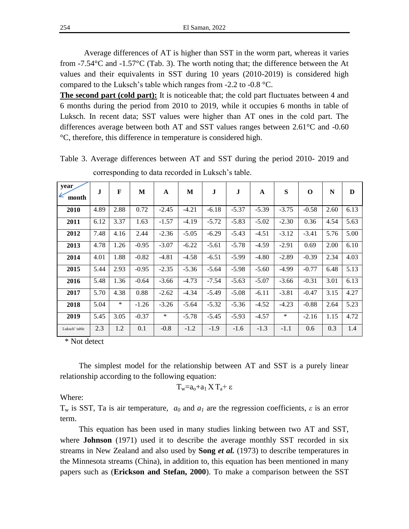254 El Saman, 2022

Average differences of AT is higher than SST in the worm part, whereas it varies from  $-7.54^{\circ}$ C and  $-1.57^{\circ}$ C (Tab. 3). The worth noting that; the difference between the At values and their equivalents in SST during 10 years (2010-2019) is considered high compared to the Luksch's table which ranges from -2.2 to -0.8 °C.

**The second part (cold part):** It is noticeable that; the cold part fluctuates between 4 and 6 months during the period from 2010 to 2019, while it occupies 6 months in table of Luksch. In recent data; SST values were higher than AT ones in the cold part. The differences average between both AT and SST values ranges between 2.61°C and -0.60 °C, therefore, this difference in temperature is considered high.

| year<br>K<br>month | J    | F    | M       | A       | M       | J       | J       | A       | S       | O       | N    | D    |
|--------------------|------|------|---------|---------|---------|---------|---------|---------|---------|---------|------|------|
| 2010               | 4.89 | 2.88 | 0.72    | $-2.45$ | $-4.21$ | $-6.18$ | $-5.37$ | $-5.39$ | $-3.75$ | $-0.58$ | 2.60 | 6.13 |
| 2011               | 6.12 | 3.37 | 1.63    | $-1.57$ | $-4.19$ | $-5.72$ | $-5.83$ | $-5.02$ | $-2.30$ | 0.36    | 4.54 | 5.63 |
| 2012               | 7.48 | 4.16 | 2.44    | $-2.36$ | $-5.05$ | $-6.29$ | $-5.43$ | $-4.51$ | $-3.12$ | $-3.41$ | 5.76 | 5.00 |
| 2013               | 4.78 | 1.26 | $-0.95$ | $-3.07$ | $-6.22$ | $-5.61$ | $-5.78$ | $-4.59$ | $-2.91$ | 0.69    | 2.00 | 6.10 |
| 2014               | 4.01 | 1.88 | $-0.82$ | $-4.81$ | $-4.58$ | $-6.51$ | $-5.99$ | $-4.80$ | $-2.89$ | $-0.39$ | 2.34 | 4.03 |
| 2015               | 5.44 | 2.93 | $-0.95$ | $-2.35$ | $-5.36$ | $-5.64$ | $-5.98$ | $-5.60$ | -4.99   | $-0.77$ | 6.48 | 5.13 |
| 2016               | 5.48 | 1.36 | $-0.64$ | $-3.66$ | $-4.73$ | $-7.54$ | $-5.63$ | $-5.07$ | $-3.66$ | $-0.31$ | 3.01 | 6.13 |
| 2017               | 5.70 | 4.38 | 0.88    | $-2.62$ | $-4.34$ | $-5.49$ | $-5.08$ | $-6.11$ | $-3.81$ | $-0.47$ | 3.15 | 4.27 |
| 2018               | 5.04 | *    | $-1.26$ | $-3.26$ | $-5.64$ | $-5.32$ | $-5.36$ | $-4.52$ | $-4.23$ | $-0.88$ | 2.64 | 5.23 |
| 2019               | 5.45 | 3.05 | $-0.37$ | $\ast$  | $-5.78$ | $-5.45$ | $-5.93$ | $-4.57$ | $\ast$  | $-2.16$ | 1.15 | 4.72 |
| Luksch' table      | 2.3  | 1.2  | 0.1     | $-0.8$  | $-1.2$  | $-1.9$  | $-1.6$  | $-1.3$  | $-1.1$  | 0.6     | 0.3  | 1.4  |

Table 3. Average differences between AT and SST during the period 2010- 2019 and corresponding to data recorded in Luksch's table.

\* Not detect

The simplest model for the relationship between AT and SST is a purely linear relationship according to the following equation:

$$
T_w=a_o+a_1\,X\,T_a+\epsilon
$$

Where:

T<sup>w</sup> is SST, Ta is air temperature, *a<sup>0</sup>* and *a<sup>1</sup>* are the regression coefficients, *ε* is an error term.

This equation has been used in many studies linking between two AT and SST, where **Johnson** (1971) used it to describe the average monthly SST recorded in six streams in New Zealand and also used by **Song** *et al.* (1973) to describe temperatures in the Minnesota streams (China), in addition to, this equation has been mentioned in many papers such as (**Erickson and Stefan, 2000**). To make a comparison between the SST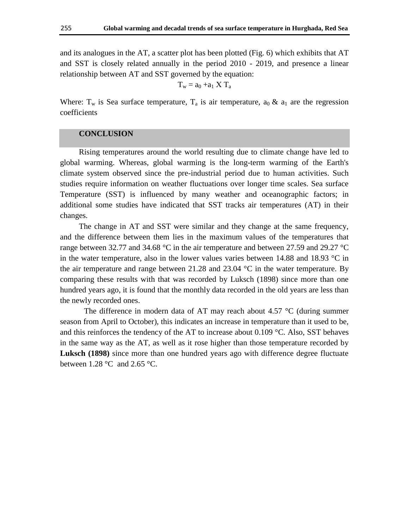and its analogues in the AT, a scatter plot has been plotted (Fig. 6) which exhibits that AT and SST is closely related annually in the period 2010 - 2019, and presence a linear relationship between AT and SST governed by the equation:

$$
T_w = a_0 + a_1 X T_a
$$

Where:  $T_w$  is Sea surface temperature,  $T_a$  is air temperature,  $a_0 \& a_1$  are the regression coefficients

#### **CONCLUSION**

Rising temperatures around the world resulting due to climate change have led to global warming. Whereas, global warming is the long-term warming of the Earth's climate system observed since the pre-industrial period due to human activities. Such studies require information on weather fluctuations over longer time scales. Sea surface Temperature (SST) is influenced by many weather and oceanographic factors; in additional some studies have indicated that SST tracks air temperatures (AT) in their changes.

The change in AT and SST were similar and they change at the same frequency, and the difference between them lies in the maximum values of the temperatures that range between 32.77 and 34.68 °C in the air temperature and between 27.59 and 29.27 °C in the water temperature, also in the lower values varies between 14.88 and 18.93  $\degree$ C in the air temperature and range between 21.28 and 23.04  $\degree$ C in the water temperature. By comparing these results with that was recorded by Luksch (1898) since more than one hundred years ago, it is found that the monthly data recorded in the old years are less than the newly recorded ones.

The difference in modern data of AT may reach about 4.57 °C (during summer season from April to October), this indicates an increase in temperature than it used to be, and this reinforces the tendency of the AT to increase about  $0.109 \degree C$ . Also, SST behaves in the same way as the AT, as well as it rose higher than those temperature recorded by **Luksch (1898)** since more than one hundred years ago with difference degree fluctuate between  $1.28$  °C and  $2.65$  °C.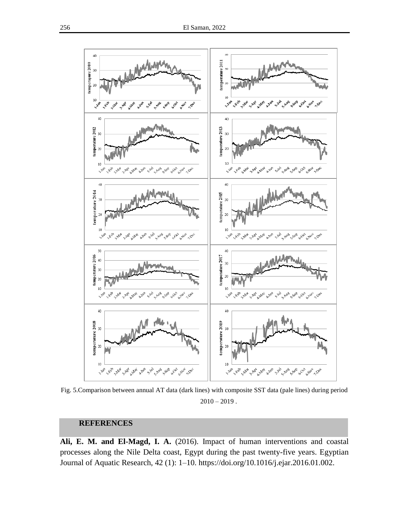

Fig. 5.Comparison between annual AT data (dark lines) with composite SST data (pale lines) during period  $2010 - 2019$ .

## **REFERENCES**

**Ali, E. M. and El-Magd, I. A.** (2016). Impact of human interventions and coastal processes along the Nile Delta coast, Egypt during the past twenty-five years. Egyptian Journal of Aquatic Research, 42 (1): 1–10. https://doi.org/10.1016/j.ejar.2016.01.002.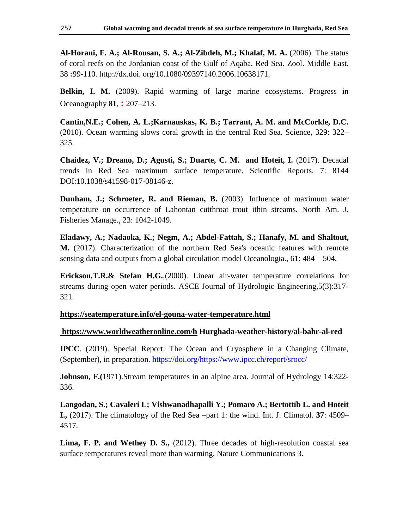**Al-Horani, F. A.; Al-Rousan, S. A.; Al-Zibdeh, M.; Khalaf, M. A.** (2006). The status of coral reefs on the Jordanian coast of the Gulf of Aqaba, Red Sea. Zool. Middle East, 38 **:**99-110. http://dx.doi. org/10.1080/09397140.2006.10638171.

**Belkin, I. M.** (2009). Rapid warming of large marine ecosystems. Progress in Oceanography **81**, **:** 207–213.

**Cantin,N.E.; Cohen, A. L.;Karnauskas, K. B.; Tarrant, A. M. and McCorkle, D.C.** (2010). Ocean warming slows coral growth in the central Red Sea. Science, 329: 322– 325.

**Chaidez, V.; Dreano, D.; Agusti, S.; Duarte, C. M. and Hoteit, I.** (2017). Decadal trends in Red Sea maximum surface temperature. Scientific Reports, 7: 8144 DOI:10.1038/s41598-017-08146-z.

**Dunham, J.; Schroeter, R. and Rieman, B.** (2003). Influence of maximum water temperature on occurrence of Lahontan cutthroat trout ithin streams. North Am. J. Fisheries Manage., 23: 1042-1049.

**Eladawy, A.; Nadaoka, K.; Negm, A.; Abdel-Fattah, S.; Hanafy, M. and Shaltout, M.** (2017). Characterization of the northern Red Sea's oceanic features with remote sensing data and outputs from a global circulation model Oceanologia., 61: 484—504.

**Erickson,T.R.& Stefan H.G.**,(2000). Linear air-water temperature correlations for streams during open water periods. ASCE Journal of Hydrologic Engineering,5(3):317- 321.

**<https://seatemperature.info/el-gouna-water-temperature.html>**

#### **<https://www.worldweatheronline.com/h> Hurghada-weather-history/al-bahr-al-red**

**IPCC**. (2019). Special Report: The Ocean and Cryosphere in a Changing Climate, (September), in preparation. [https://doi.org/https://www.ipcc.ch/report/srocc/](https://doi.org/https:/www.ipcc.ch/report/srocc/)

**Johnson, F.(**1971).Stream temperatures in an alpine area. Journal of Hydrology 14:322- 336.

**Langodan, S.; Cavaleri L; Vishwanadhapalli Y.; Pomaro A.; Bertottib L. and Hoteit I.,** (2017). The climatology of the Red Sea –part 1: the wind. Int. J. Climatol*.* **37**: 4509– 4517.

**Lima, F. P. and Wethey D. S.,** (2012). Three decades of high-resolution coastal sea surface temperatures reveal more than warming. Nature Communications 3.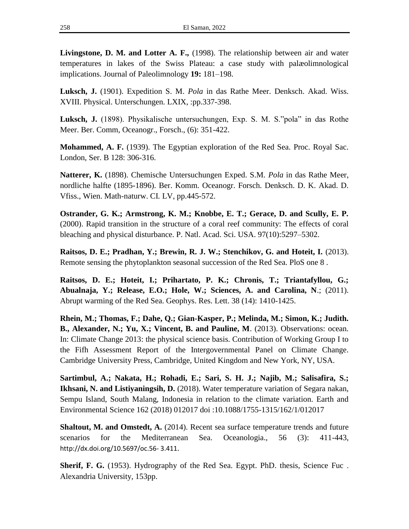**Livingstone, D. M. and Lotter A. F.,** (1998). The relationship between air and water temperatures in lakes of the Swiss Plateau: a case study with palæolimnological implications. Journal of Paleolimnology **19:** 181–198.

**Luksch, J.** (1901). Expedition S. M. *Pola* in das Rathe Meer. Denksch. Akad. Wiss. XVIII. Physical. Unterschungen. LXIX, :pp.337-398.

**Luksch, J.** (1898). Physikalische untersuchungen, Exp. S. M. S. "pola" in das Rothe Meer. Ber. Comm, Oceanogr., Forsch., (6): 351-422.

**Mohammed, A. F.** (1939). The Egyptian exploration of the Red Sea. Proc. Royal Sac. London, Ser. B 128: 306-316.

**Natterer, K.** (1898). Chemische Untersuchungen Exped. S.M. *Pola* in das Rathe Meer, nordliche halfte (1895-1896). Ber. Komm. Oceanogr. Forsch. Denksch. D. K. Akad. D. Vfiss., Wien. Math-naturw. CI*.* LV, pp.445-572.

**Ostrander, G. K.; Armstrong, K. M.; Knobbe, E. T.; Gerace, D. and Scully, E. P.** (2000). Rapid transition in the structure of a coral reef community: The effects of coral bleaching and physical disturbance. P. Natl. Acad. Sci. USA. 97(10):5297–5302.

**Raitsos, D. E.; Pradhan, Y.; Brewin, R. J. W.; Stenchikov, G. and Hoteit, I.** (2013). Remote sensing the phytoplankton seasonal succession of the Red Sea. PloS one 8 .

**Raitsos, D. E.; Hoteit, I.; Prihartato, P. K.; Chronis, T.; Triantafyllou, G.; Abualnaja, Y.; Release, E.O.; Hole, W.; Sciences, A. and Carolina, N**.; (2011). Abrupt warming of the Red Sea. Geophys. Res. Lett. 38 (14): 1410-1425.

**Rhein, M.; Thomas, F.; Dahe, Q.; Gian-Kasper, P.; Melinda, M.; Simon, K.; Judith. B., Alexander, N.; Yu, X.; Vincent, B. and Pauline, M**. (2013). Observations: ocean. In: Climate Change 2013: the physical science basis. Contribution of Working Group I to the Fifh Assessment Report of the Intergovernmental Panel on Climate Change. Cambridge University Press, Cambridge, United Kingdom and New York, NY, USA.

**Sartimbul, A.; Nakata, H.; Rohadi, E.; Sari, S. H. J.; Najib, M.; Salisafira, S.; Ikhsani, N. and Listiyaningsih, D.** (2018). Water temperature variation of Segara nakan, Sempu Island, South Malang, Indonesia in relation to the climate variation. Earth and Environmental Science 162 (2018) 012017 doi :10.1088/1755-1315/162/1/012017

**Shaltout, M. and Omstedt, A.** (2014). Recent sea surface temperature trends and future scenarios for the Mediterranean Sea. Oceanologia., 56 (3): 411-443, [http://dx.doi.org/10.5697/oc.56-](http://dx.doi.org/10.5697/oc.56-%203.411) 3.411.

**Sherif, F. G.** (1953). Hydrography of the Red Sea. Egypt. PhD. thesis, Science Fuc. Alexandria University, 153pp.